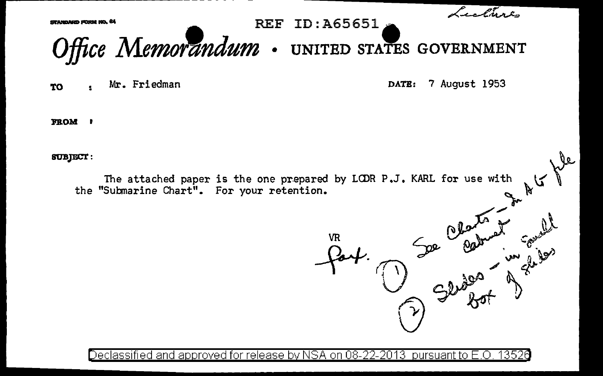

Declassified and approved for release by NSA on 08-22-2013  $\,$  pursuant to E.O  $\,$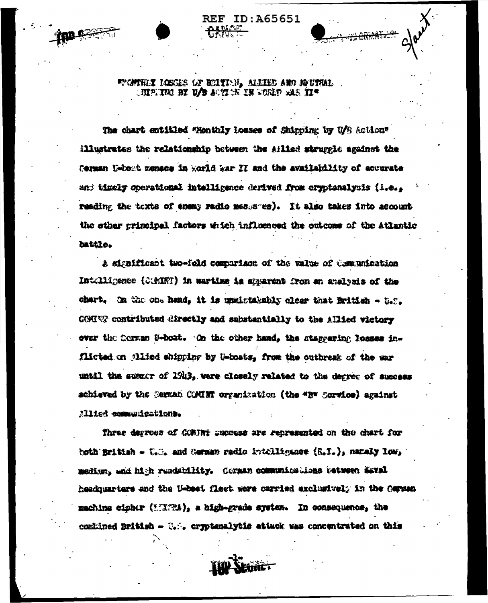WONTHIY HOSGES OF BILTING, ALLIED AND HOUTHAL **INPITED BY U/B AUTITS IN COLP ALS II\*** 

**REF ID: A65651** 

The chart entitled "Monthly losses of Shinping by U/B Action" illustrates the relationship between the Aflied struggle against the Cerman U-boot menace in world war II and the availability of accurate and timely operational intelligence derived from cryptanalysis (1.e., reading the texts of enemy radio messares). It also takes into account the other principal factors which influenced the outcome of the Atlantic battle.

A significant two-fold comparison of the value of Communication Intolligence (COMINT) in wartime is apparent from an analysis of the chart. On the one hand, it is upsistakably clear that British - U.S. COSING contributed directly and substantially to the Allied victory over the Serman S-boat. On the other hand, the staggering losses inflicted on allied shipping by U-boats, from the outbreak of the war until the summer of 1943, were closely related to the degree of success achieved by the Serman COMINT organization (the "B" Sorvice) against Allied communications.

Three derross of GCMTNi success are represented on the chart for both British - U.C. and German radio intelligacce (R.I.), namely low, medium, and high readshility. Corman communications tetween Waval headquarters and the U-bost fleet were carried exclusively in the German machine cipher (EURA), a high-grade system. In consequence, the comined British - U. , cryptenalytic attack was concentrated on this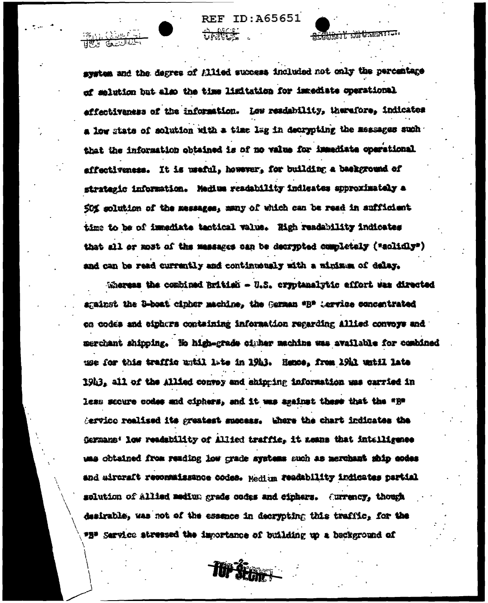<del>SCANARTY BALGAS</del>

าสถา (วัวเหยิ<sup>5</sup>

نا ال<del>يوني</del>

system and the degree of Allied success included not only the percentage of solution but also the time limitation for immediate operational affectivaness of the information. Low readability, therefore, indicates a low state of solution with a time lag in decrypting the messages such that the information obtained is of no value for immediate operational affectiveness. It is useful, however, for building a background of strategic information. Medius readability indicates spproximately a 50% solution of the messages, many of which can be read in aufficient time to be of immediate tactical value. High readability indicates that all or most of the massages can be decrypted completely ("solidly") and can be read currently and continuously with a minimum of delay.

Whereas the combined British - U.S. cryptanalytic effort was directed sgainst the B-boat cipher machine, the Garman \*B\* Lervice concentrated on codes and siphers containing information regarding Allied convoys and : merchant shipping. He high-grade cinher machine was available for combined use for this traffic until late in 19h3. Hence, from 19h1 until late 19h3, all of the Allied convoy and shipping information was carried in less secure codes and ciphers, and it was against these that the "H" **Aervice realised its greatest success. Where the chart indicates the** Germans: low readability of Allied traffic, it assus that intelligence uns obtained from reading low grade systems such as merchant ship codes and aircraft reconnaissance codes. Medium readability indicates partial molution of Allied medium grads codes and cinhers. (urrency, though desirable, was not of the essence in decrypting this traffic, for the \*2" Service atressed the importance of building up a background of

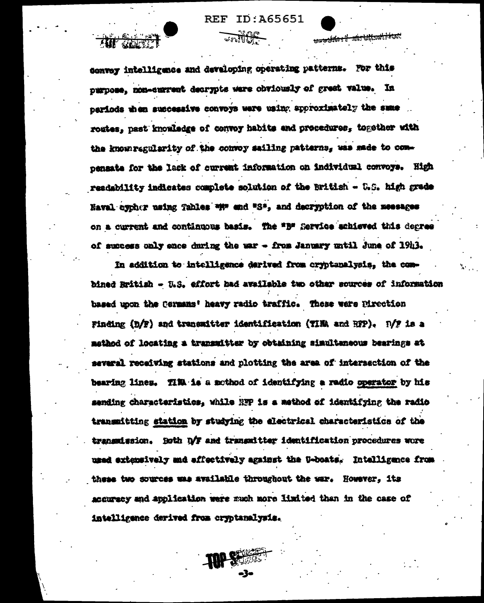ID:A65651  $REF$ 

<del>, sylfa : il -uis Ukankala</del>sit

convey intelligence and developing operating patterns. For this purpose, non-current decrypts were obviously of great value. In periods then suscessive convoys were using approximately the same routes, past knowledge of convoy habits and procedures, together with the known regularity of the convoy sailing patterns, was made to compensate for the lack of current information on individual convoys. High readability indicates complete solution of the British - U.S. high grade Naval cycher using Tables with and "S", and decryption of the meesages on a current and continuous basis. The "B" Service achieved this depres of success only ence during the war - from January until June of 19h3.

In addition to intelligence derived from cryptanalysis, the combined British - U.S. effort had available two other sources of information based upon the Cermans' heavy radio traffic. These were Pirection Finding (D/F) and transmitter identification (TIM and RFP). N/F is a method of locating a transmitter by obtaining simultaneous bearings at several receiving stations and plotting the area of intersection of the bearing lines. Till is a mothod of identifying a radio operator by his sending characteristics, while RFP is a method of identifying the radio transmitting station by studying the electrical characteristics of the transmission. Both D'F and transmitter identification procedures wore used extensively and effectively against the U-boats. Intelligence from these two sources was available throughout the war. However, its accurecy and application were much more limited than in the case of intelligence derived from cryptanalysis.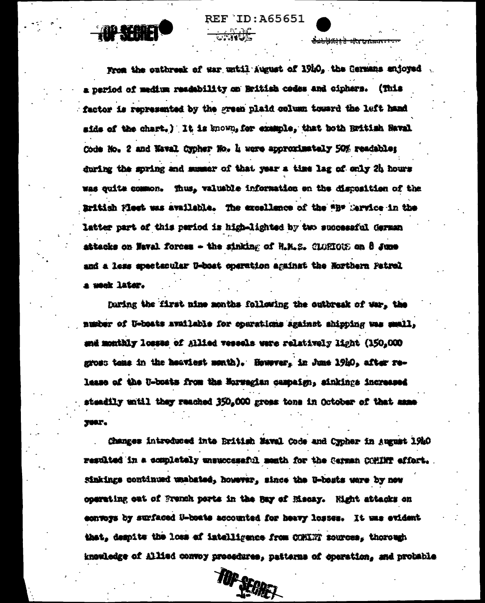<del>ioldsia k ik aátetoma</del>



From the outbreak of war until August of 1910, the Cermans enjoyed a period of medium readability on Hritish codes and ciphers. (This factor is represented by the green plaid column toward the left hand mids of the chart.) It is known, for example, that both Rwitish Haval Code No. 2 and Naval Cypher No. 4 were approximately 50% readable: during the goring and summer of that year a time lag of only 2h hours was quite common. Thus, valuable information on the disposition of the British Miest was available. The excellence of the "B" Mervice in the latter part of this period is high-lighted by two successful German attacks on Waval forces - the sinking of H.M.S. CLORICUS on 8 June and a less apectsoular U-boat operation against the Northern Patrol a week later.

haring the first nine months following the outbreak of war, the number of U-boats available for operations against shipping was small, and monthly losses of Alliad vessels were relatively light (150,000) gross tens in the heaviest month). However, in June 19h0, after release of the U-boats from the Morwegian campaign, sinkings increased steadily until they reached 350,000 gross tone in October of that asse year.

Changes introduced into British Naval Code and Cypher in August 1940 resulted in a completely unsuccessful memth for the Cerman COMINT effort. Sinkings continued unabated, however, since the U-bosts were by now coarating out of French ports in the Bay of Riscay. Eight attacks on convers by surfaced U-boats accounted for heavy losses. It was evident that, demoits the loss of intelligence from COMINT sources, thorough knowledge of Allied convoy procedures, patterns of operation, and probable

TOP SEGRET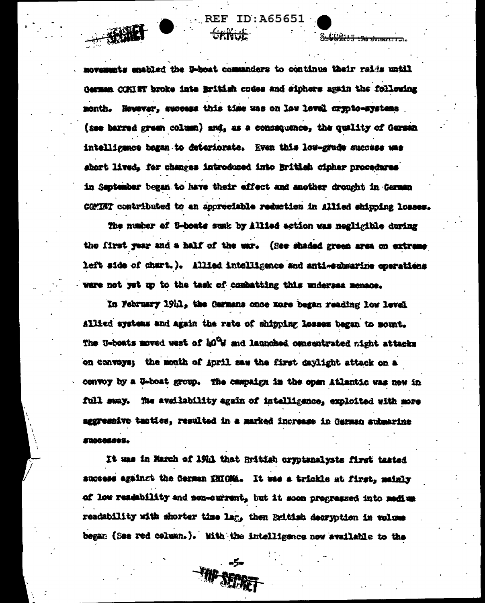movements enabled the U-boat commanders to continue their rais until German COKIET broke inte British codes and sinhers again the following month. However, success this time was on low level crypto-systems (see barred green column) and, as a consequence, the quality of German intelligence began to deteriorate. Even this lou-grade success was short lived. for changes introduced into British cipher procedures in September began to have their effect and another drought in German COMINT contributed to an appreciable reduction in Allied shipping losses.

**REF ID:A65651** 

Stablishing the state of

<del>Grivit.</del>

 $+390$ 

The number of 5-boats sunk by Allied action was negligible during the first year and a half of the war. (See shaded green area on extreme left side of chart.). Allied intelligence and anti-submarine operations were not yet up to the task of combatting this undersea memace.

In February 1911, the Garmans once nore began reading low level Allied systems and again the rate of shipping losses began to mount. The U-boats moved west of 10% and launched concentrated night attacks on convoys; the month of April saw the first daylight attack on a convoy by a U-boat group. The campaign in the open Atlantic was now in full sway. The availability again of intelligence, exploited with more aggressive tactics, resulted in a marked increase in Garman submarine Kustázstá.

It was in March of 1941 that British cryptanalysts first tasted auccess against the Cerman ENIGMA. It was a trickle at first, mainly of low readability and non-current, but it soon progressed into medium readability with shorter time lag, then British decryption in volume began (See red column.). With the intelligence now available to the

FIIP SECRET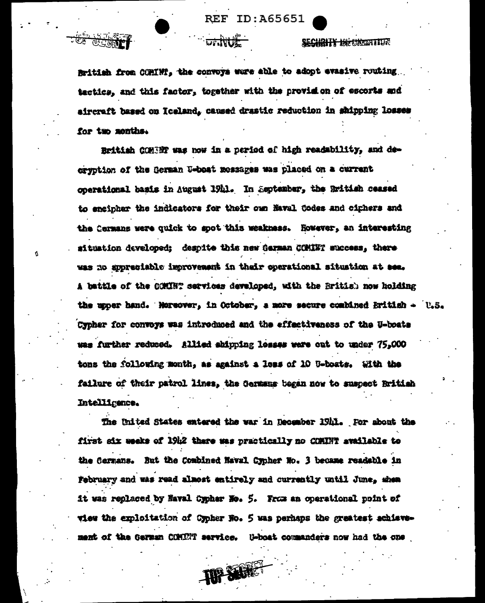ECHRITY INFORMATION

British from CORINT, the convoys were able to adopt evasive routing tactics, and this factor, together with the provision of escorts and aircraft based on Iceland, caused drastic reduction in shinoing losses for two months.

<sup>4</sup>ツ いつ(読)

Ń

British COMERT was now in a period of high readability, and decryption of the German U-boat messages was placed on a current operational basis in August 1941. In September, the British ceased to encipher the indicators for their own Naval Codes and ciphers and the Cermans were quick to spot this weakness. However, an interesting situation developed: despite this new German COMINT success, there was no supreciable improvement in their operational situation at see. A battle of the COMMT services developed, with the British now holding the upper hand. Norsover, in October, a more secure combined British - U.S. Cypher for convoys was introduced and the effectiveness of the U-boats was further reduced. Allied shipping losses were out to under 75,000 tons the following month, as against a less of 10 U-boats. With the failure of their patrol lines, the Germans began now to suspect British Intelligence.

The United States entered the war in December 1911. For about the first six weeks of 19h2 there was practically no COMINT available to the Cermans. But the Combined Naval Cypher No. 3 became readable in February and was read almost entirely and currently until June, shew it was replaced by Naval Cypher No. 5. From an operational point of view the exploitation of Cypher No. 5 was perhaps the greatest achievement of the German COMENT service. U-boat commanders now had the one

TOP SEREET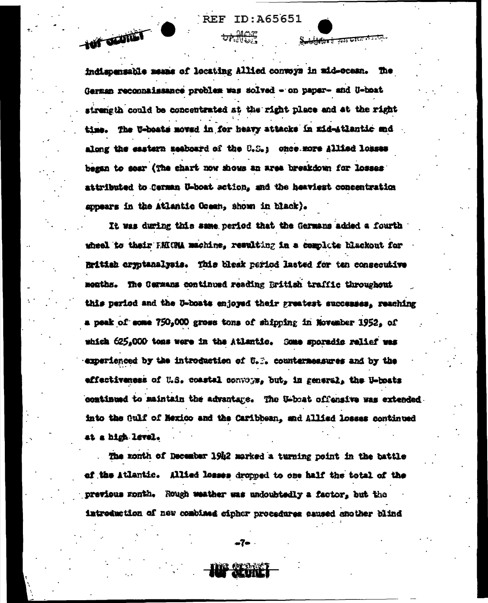**Tell Council** 

Souldate à 1555 Gancier de Litera

indispensable means of locating Allied convoys in mid-ocean. The German reconnaissance problem was solved - on paper- and U-boat strength could be concentrated at the right place and at the right time. The U-boats moved in for heavy attacks in mid-stlantic end along the eastern meaboard of the U.S.; once more Allied losses began to sear (The chart now shows an area breakdown for losses attributed to Cerman U-boat sction, and the heaviest concentration appears in the Atlantic Green, shown in black).

It was during this same period that the Germans added a fourth wheel to their ENIGM machine, resulting in a complete blackout for Rritiah eryptanalysis. This bleak period lasted for tan consecutive menths. The Cermans continued reading British traffic throughout this period and the U-boats enjoyed their greatest successes. reaching a peak of some 750,000 gross tons of shipping in November 1952, of which 625,000 tons were in the Atlantic. Some sporadic relief was experienced by the introduction of U.S. countermeasures and by the effectiveness of U.S. coastal convoys. but. in general. the U-boats continued to maintain the advantage. The U-boat offensive was extended. into the Gulf of Mexico and the Caribbean, and Allied losses continued at a high level.

The month of December 19h2 marked a turning point in the battle of the Atlantic. Allied losses dropped to one half the total of the previous month. Rough weather was undoubtedly a factor, but the introduction of new combined cipher procedures caused another blind

-7-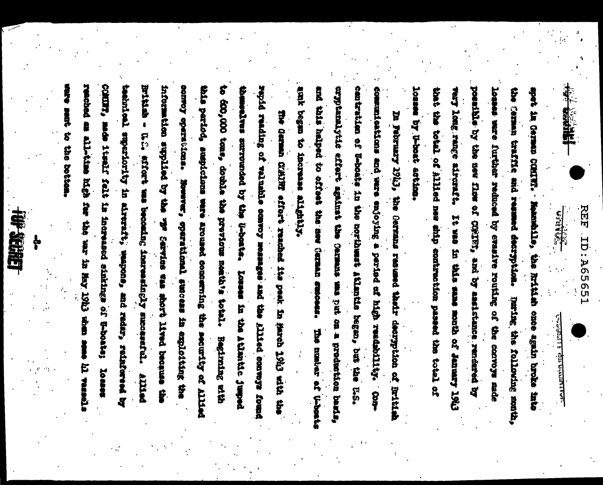**REF ID: AG5651** 

**Research** 

<u>الولايتين بيت ال</u> בניון טייוני ובין אייני

losses by U-boat ection possible by the new flow of CWIFS, and by assistance rendered by that the total of Allied new sith contraction passed the total of leases ward further reduced by evanive routing of the convoys made very long range aircraft. It was in this same mouth of January 1943 the seman traffic and resumed decryption. Tering following month, spet in German COMITT. " Nammahile, the hritish cnce again broke into

attail began to increase althouse cantration of U-boats in the northwast itlantic began, but the U.S. cryptanalytike effert against the Cermans was on a production basis, communications and mere enjoying a perind of high readility. Conand this helped to offeet the means summar success. The master of U-boats In February 1943, the Germans resumed thatr decryption of initial

COMINT, sade itself falt in increased sinkings of U-boate; reached an all-time high for the war in May 19h3 when sem-British - U.C. effort was becoming increasingly successful. teatnical superiority in aireraft, saapons, and radar, reinforeed by information supplied by the vir terrice was short lived because comoy operations. this period, suspicions ware aroused concerning the security of Allisd theselves surrounded by the U-boats. to 600,000 tone, double the previous neather total. Begining sith repid reading of valuable comvoy measuges and illied conveys found The German COANS effort reached its peak. In March 1943 with the sent to the bottom. Bowever, sperational success in exploiting the bequet change intered 「この教会」 PUTTER ę.

一般思想

ķ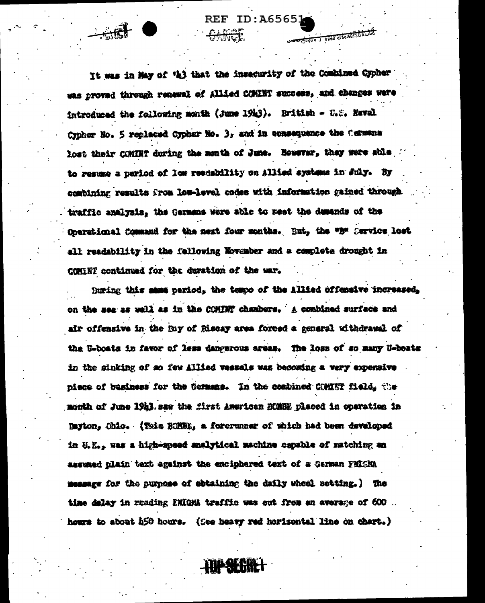It was in May of 'h) that the insecurity of the Combined Cypher was proved through renewal of Allied COMINT success, and changes were introduced the following month (June 1913). British - U.S. Haval Cypher No. 5 replaced Cypher No. 3, and in consequence the Cermans lost their COMINT during the menth of June. However, they were able to resume a period of low readability on Allied systems in July. By combining results from low-level codes with information gained through traffic analysis, the Germans were able to meet the demands of the Operational Command for the next four months. But, the "B" Service lost all readability in the following November and a complete drought in COMORT continued for the duration of the mar.

**REF ID: A6565** 

re poso o si esse obsassistit

juring this same period, the tempo of the Allied offensive increased. on the sea as well as in the COMINT chambers. A combined surface and air offensive in the Bay of Riscay area forced a general withdrawal of the U-boats in favor of less dangerous ageam. The loss of so many U-boats in the sinking of so few Allied vessals was becoming a very expensive piece of business for the Germans. In the combined COMEST field, the month of June 19h3. saw the first American BOMBE placed in operation in Tayton. Ohio. (This ROMME, a forerunner of which had been developed in U.E., was a high-speed analytical machine capable of matching an assumed plain text against the enciphered text of a German FHIGHA message for the purpose of obtaining the daily wheel setting.) The time delay in reading ENIGM traffic was out from an average of 600 hours to about 450 hours. (See heavy red horizontal line on chart.)

**TOP SEGRET**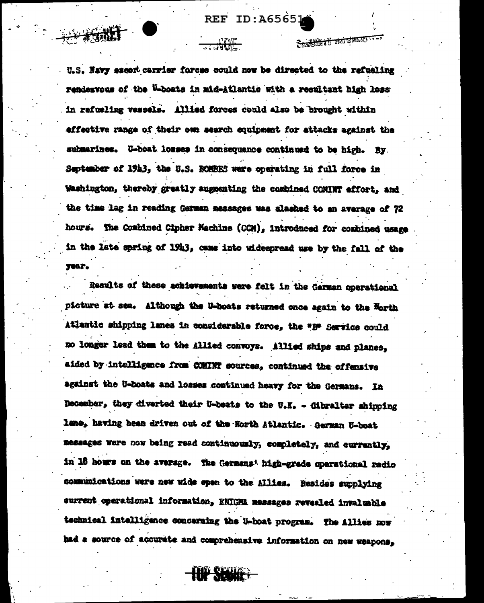Suite of complete

U.S. Navy escort carrier forces could now be directed to the refueling rendesvous of the U-boats in mid-Atlantic with a resultant high loss in refueling vessels. Allied forces could also be brought within effective range of their owe search equipment for attacks against the submarines. U-boat losses in consequence continued to be high. By September of 1913, the U.S. BOMBES were operating in full force in Washington, thereby greatly augmenting the combined COMINT affort, and the time lag in reading German messages was alashed to an average of 72 hours. The Combined Cipher Machine (CCM), introduced for combined usage in the late spring of 1943, came into widespread use by the fall of the year.

Results of these achievements were felt in the German operational picture at sea. Although the U-boats returned once again to the Horth Atlantic shipping lanes in considerable force, the "B" Service could no longer lead them to the Allied convoys. Allied ships and planes. aided by intelligence from COMINT sources, continued the offensive against the U-boats and losses continued heavy for the Germans. In December, they diverted their U-beats to the U.K. - Gibraltar shipping lane, having been driven out of the Horth Atlantic. German U-boat messages were now being read continuously, completely, and currently, in 18 hours on the average. The Germans' high-grade operational radio communications were new wide open to the Allies. Resides supplying current operational information, ENIGMA messages revealed invaluable technical intelligence concerning the U-boat program. The Allies now had a source of accurate and comprehensive information on new weapons,

**D SECORE**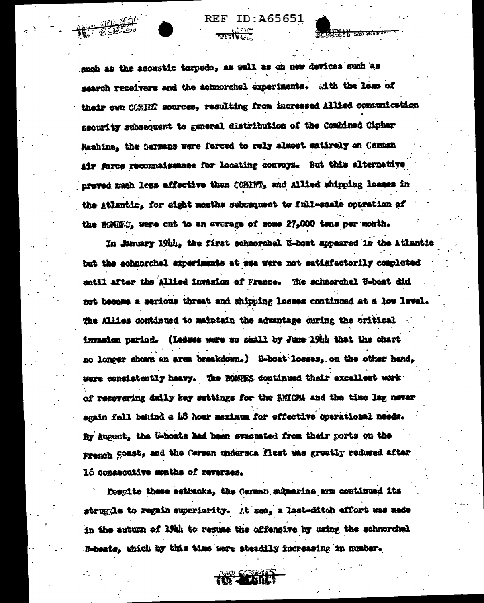such as the acoustic torpedo, as well as on new devices such as search receivers and the schnorchel experiments. with the less of their own CONNET sources, resulting from increased Allied communication security subsequent to general distribution of the Combined Cipher Machine, the Sermans were forced to rely almost entirely on Cerman Air Porce reconnaissance for locating convoys. But this alternative proved much less effective than COMINT, and Allied shipping losses in the Atlantic. for cight months subsequent to full-scale operation of the BOMBC, were cut to an average of some 27,000 tons per month.

**REF ID:A65651** 

তানটিতা

In January 19th, the first schnorchel U-boat appeared in the Atlantic but the schnorchel experiments at sea were not satisfactorily completed until after the Allied invasion of France. The schnorchel U-beat did not become a serious threat and shipping losses continued at a low level. The Allies continued to maintain the advantage during the critical invasion period. (Losses were so small by June 19th that the chart no longer shows an area breakdown.) U-boat losses. on the other hand. were consistently heavy. The BOMHES continued their excellent work of recovering daily key settings for the ENICAA and the time lag never again fell behind a 48 hour maximum for effective operational needs. By August, the U-boate had been evacuated from their ports on the French Coast, and the Carman understa fleet was greatly reduced after 16 consecutive months of reverses.

Respite these setbacks, the German submarine arm continued its struggle to regain superiority. At sea, a last-ditch effort was made in the sutumn of 19th to resume the offensive by using the schmorchel H-beats, which by this time were steadily increasing in number.

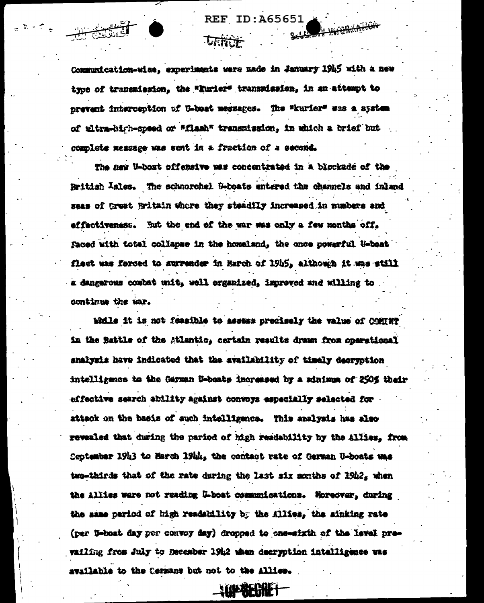Communication-wise, experiments were made in January 1945 with a new type of transmission, the "Eurier" transmission, in an attempt to prevent interception of U-boat messages. The "kurier" was a system of ultra-hirh-speed or "flash" transmission, in which a brief but complete message was sent in a fraction of a second.

The new U-boat offensive was concentrated in a blockade of the Rritish <sup>I</sup>sles. The schnorchel U-boats entered the channels and inland seas of treat Britain where they steadily increased in numbers and effectiveness. But the end of the war was only a few months off. Faced with total collapse in the homeland, the once powerful U-boat fleet was forced to surrender in March of 19h5, although it was still a dangerous combat unit, well organized, improved and willing to . continue the war.

While it is not feasible to assess precisely the value of COMTRT in the Battle of the Atlantic, certain results drawn from operational analysis have indicated that the availability of timely decryption intelligence to the German U-boats increased by a minimum of 250% their effective search ability against convoys especially selected for attack on the basis of such intelligence. This analysis has also revealed that during the pariod of high readability by the Allies. from Ceptember 1943 to March 1944, the contact rate of German U-boats was two-thirds that of the rate during the last six months of  $19h2_x$  when the Allies were not reading L-boat communications. Moreover, during the same pariod of high readshility by the Allies, the sinking rate (per U-boat day per convoy day) dropped to one-sixth of the lavel prevailing from July to December 1942 when decryption intelligence was svailable to the Cermans but not to the Allies.

**WEBAE**